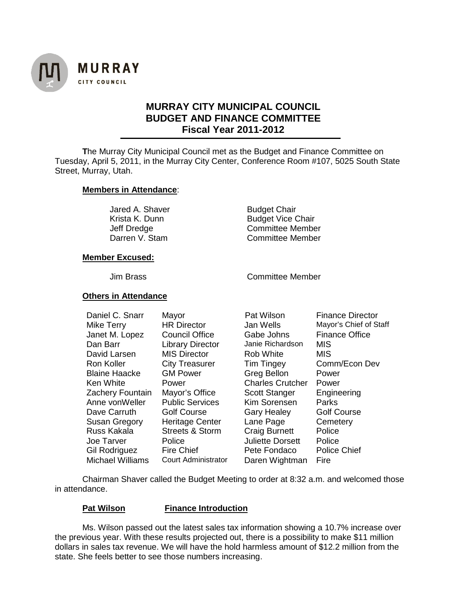

# **MURRAY CITY MUNICIPAL COUNCIL BUDGET AND FINANCE COMMITTEE Fiscal Year 2011-2012**

**T**he Murray City Municipal Council met as the Budget and Finance Committee on Tuesday, April 5, 2011, in the Murray City Center, Conference Room #107, 5025 South State Street, Murray, Utah.

## **Members in Attendance**:

Jared A. Shaver **Budget Chair**<br>
Krista K. Dunn **Budget Vice Communist Communist Communist Communist Communist Communist Communist Communist Communist Communist Communist Communist Communist Communist Communist Communist Co** 

**Budget Vice Chair** Jeff Dredge Committee Member Darren V. Stam Committee Member

## **Member Excused:**

Jim Brass Committee Member

## **Others in Attendance**

| Daniel C. Snarr<br>Mike Terry<br>Janet M. Lopez<br>Dan Barr<br>David Larsen | Mayor<br><b>HR Director</b><br><b>Council Office</b><br><b>Library Director</b><br><b>MIS Director</b> | Pat Wilson<br>Jan Wells<br>Gabe Johns<br>Janie Richardson<br><b>Rob White</b> | <b>Finance Director</b><br>Mayor's Chief of Staff<br><b>Finance Office</b><br>MIS<br>MIS |
|-----------------------------------------------------------------------------|--------------------------------------------------------------------------------------------------------|-------------------------------------------------------------------------------|------------------------------------------------------------------------------------------|
| Ron Koller                                                                  | <b>City Treasurer</b>                                                                                  | <b>Tim Tingey</b>                                                             | Comm/Econ Dev                                                                            |
| <b>Blaine Haacke</b>                                                        | <b>GM Power</b>                                                                                        | <b>Greg Bellon</b>                                                            | Power                                                                                    |
| Ken White                                                                   | Power                                                                                                  | <b>Charles Crutcher</b>                                                       | Power                                                                                    |
| Zachery Fountain                                                            | Mayor's Office                                                                                         | <b>Scott Stanger</b>                                                          | Engineering                                                                              |
| Anne vonWeller                                                              | <b>Public Services</b>                                                                                 | Kim Sorensen                                                                  | Parks                                                                                    |
| Dave Carruth                                                                | <b>Golf Course</b>                                                                                     | <b>Gary Healey</b>                                                            | <b>Golf Course</b>                                                                       |
| <b>Susan Gregory</b>                                                        | <b>Heritage Center</b>                                                                                 | Lane Page                                                                     | Cemetery                                                                                 |
| Russ Kakala                                                                 | <b>Streets &amp; Storm</b>                                                                             | <b>Craig Burnett</b>                                                          | Police                                                                                   |
| Joe Tarver                                                                  | Police                                                                                                 | <b>Juliette Dorsett</b>                                                       | Police                                                                                   |
| Gil Rodriguez                                                               | <b>Fire Chief</b>                                                                                      | Pete Fondaco                                                                  | <b>Police Chief</b>                                                                      |
| <b>Michael Williams</b>                                                     | Court Administrator                                                                                    | Daren Wightman                                                                | Fire                                                                                     |

Chairman Shaver called the Budget Meeting to order at 8:32 a.m. and welcomed those in attendance.

## **Pat Wilson Finance Introduction**

Ms. Wilson passed out the latest sales tax information showing a 10.7% increase over the previous year. With these results projected out, there is a possibility to make \$11 million dollars in sales tax revenue. We will have the hold harmless amount of \$12.2 million from the state. She feels better to see those numbers increasing.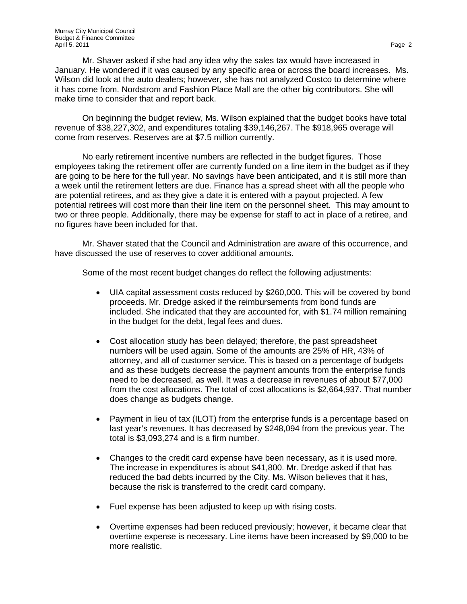Mr. Shaver asked if she had any idea why the sales tax would have increased in January. He wondered if it was caused by any specific area or across the board increases. Ms. Wilson did look at the auto dealers; however, she has not analyzed Costco to determine where it has come from. Nordstrom and Fashion Place Mall are the other big contributors. She will make time to consider that and report back.

On beginning the budget review, Ms. Wilson explained that the budget books have total revenue of \$38,227,302, and expenditures totaling \$39,146,267. The \$918,965 overage will come from reserves. Reserves are at \$7.5 million currently.

No early retirement incentive numbers are reflected in the budget figures. Those employees taking the retirement offer are currently funded on a line item in the budget as if they are going to be here for the full year. No savings have been anticipated, and it is still more than a week until the retirement letters are due. Finance has a spread sheet with all the people who are potential retirees, and as they give a date it is entered with a payout projected. A few potential retirees will cost more than their line item on the personnel sheet. This may amount to two or three people. Additionally, there may be expense for staff to act in place of a retiree, and no figures have been included for that.

Mr. Shaver stated that the Council and Administration are aware of this occurrence, and have discussed the use of reserves to cover additional amounts.

Some of the most recent budget changes do reflect the following adjustments:

- UIA capital assessment costs reduced by \$260,000. This will be covered by bond proceeds. Mr. Dredge asked if the reimbursements from bond funds are included. She indicated that they are accounted for, with \$1.74 million remaining in the budget for the debt, legal fees and dues.
- Cost allocation study has been delayed; therefore, the past spreadsheet numbers will be used again. Some of the amounts are 25% of HR, 43% of attorney, and all of customer service. This is based on a percentage of budgets and as these budgets decrease the payment amounts from the enterprise funds need to be decreased, as well. It was a decrease in revenues of about \$77,000 from the cost allocations. The total of cost allocations is \$2,664,937. That number does change as budgets change.
- Payment in lieu of tax (ILOT) from the enterprise funds is a percentage based on last year's revenues. It has decreased by \$248,094 from the previous year. The total is \$3,093,274 and is a firm number.
- Changes to the credit card expense have been necessary, as it is used more. The increase in expenditures is about \$41,800. Mr. Dredge asked if that has reduced the bad debts incurred by the City. Ms. Wilson believes that it has, because the risk is transferred to the credit card company.
- Fuel expense has been adjusted to keep up with rising costs.
- Overtime expenses had been reduced previously; however, it became clear that overtime expense is necessary. Line items have been increased by \$9,000 to be more realistic.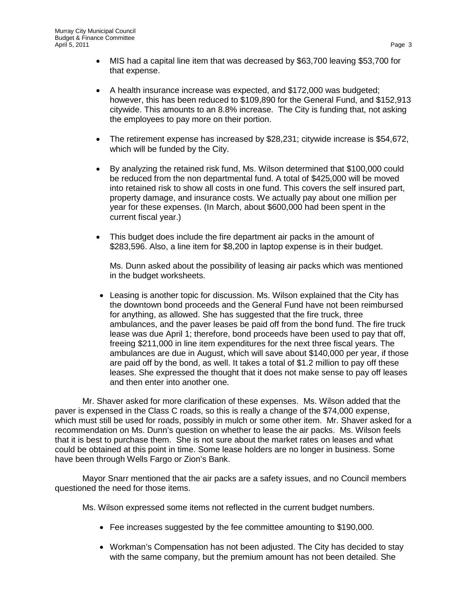- MIS had a capital line item that was decreased by \$63,700 leaving \$53,700 for that expense.
- A health insurance increase was expected, and \$172,000 was budgeted; however, this has been reduced to \$109,890 for the General Fund, and \$152,913 citywide. This amounts to an 8.8% increase. The City is funding that, not asking the employees to pay more on their portion.
- The retirement expense has increased by \$28,231; citywide increase is \$54,672, which will be funded by the City.
- By analyzing the retained risk fund, Ms. Wilson determined that \$100,000 could be reduced from the non departmental fund. A total of \$425,000 will be moved into retained risk to show all costs in one fund. This covers the self insured part, property damage, and insurance costs. We actually pay about one million per year for these expenses. (In March, about \$600,000 had been spent in the current fiscal year.)
- This budget does include the fire department air packs in the amount of \$283,596. Also, a line item for \$8,200 in laptop expense is in their budget.

Ms. Dunn asked about the possibility of leasing air packs which was mentioned in the budget worksheets.

• Leasing is another topic for discussion. Ms. Wilson explained that the City has the downtown bond proceeds and the General Fund have not been reimbursed for anything, as allowed. She has suggested that the fire truck, three ambulances, and the paver leases be paid off from the bond fund. The fire truck lease was due April 1; therefore, bond proceeds have been used to pay that off, freeing \$211,000 in line item expenditures for the next three fiscal years. The ambulances are due in August, which will save about \$140,000 per year, if those are paid off by the bond, as well. It takes a total of \$1.2 million to pay off these leases. She expressed the thought that it does not make sense to pay off leases and then enter into another one.

Mr. Shaver asked for more clarification of these expenses. Ms. Wilson added that the paver is expensed in the Class C roads, so this is really a change of the \$74,000 expense, which must still be used for roads, possibly in mulch or some other item. Mr. Shaver asked for a recommendation on Ms. Dunn's question on whether to lease the air packs. Ms. Wilson feels that it is best to purchase them. She is not sure about the market rates on leases and what could be obtained at this point in time. Some lease holders are no longer in business. Some have been through Wells Fargo or Zion's Bank.

Mayor Snarr mentioned that the air packs are a safety issues, and no Council members questioned the need for those items.

Ms. Wilson expressed some items not reflected in the current budget numbers.

- Fee increases suggested by the fee committee amounting to \$190,000.
- Workman's Compensation has not been adjusted. The City has decided to stay with the same company, but the premium amount has not been detailed. She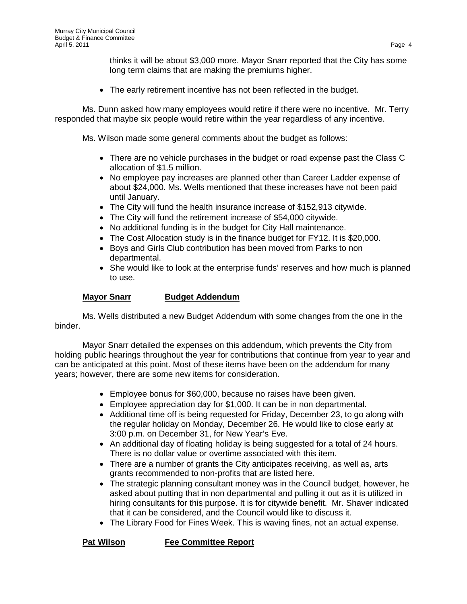thinks it will be about \$3,000 more. Mayor Snarr reported that the City has some long term claims that are making the premiums higher.

• The early retirement incentive has not been reflected in the budget.

Ms. Dunn asked how many employees would retire if there were no incentive. Mr. Terry responded that maybe six people would retire within the year regardless of any incentive.

Ms. Wilson made some general comments about the budget as follows:

- There are no vehicle purchases in the budget or road expense past the Class C allocation of \$1.5 million.
- No employee pay increases are planned other than Career Ladder expense of about \$24,000. Ms. Wells mentioned that these increases have not been paid until January.
- The City will fund the health insurance increase of \$152,913 citywide.
- The City will fund the retirement increase of \$54,000 citywide.
- No additional funding is in the budget for City Hall maintenance.
- The Cost Allocation study is in the finance budget for FY12. It is \$20,000.
- Boys and Girls Club contribution has been moved from Parks to non departmental.
- She would like to look at the enterprise funds' reserves and how much is planned to use.

## **Mayor Snarr Budget Addendum**

Ms. Wells distributed a new Budget Addendum with some changes from the one in the binder.

Mayor Snarr detailed the expenses on this addendum, which prevents the City from holding public hearings throughout the year for contributions that continue from year to year and can be anticipated at this point. Most of these items have been on the addendum for many years; however, there are some new items for consideration.

- Employee bonus for \$60,000, because no raises have been given.
- Employee appreciation day for \$1,000. It can be in non departmental.
- Additional time off is being requested for Friday, December 23, to go along with the regular holiday on Monday, December 26. He would like to close early at 3:00 p.m. on December 31, for New Year's Eve.
- An additional day of floating holiday is being suggested for a total of 24 hours. There is no dollar value or overtime associated with this item.
- There are a number of grants the City anticipates receiving, as well as, arts grants recommended to non-profits that are listed here.
- The strategic planning consultant money was in the Council budget, however, he asked about putting that in non departmental and pulling it out as it is utilized in hiring consultants for this purpose. It is for citywide benefit. Mr. Shaver indicated that it can be considered, and the Council would like to discuss it.
- The Library Food for Fines Week. This is waving fines, not an actual expense.

**Pat Wilson Fee Committee Report**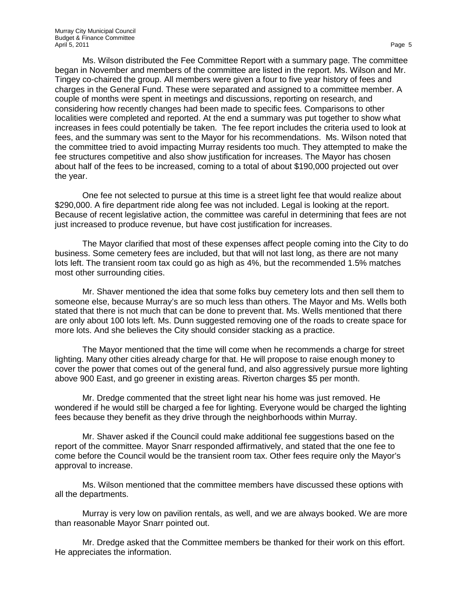Ms. Wilson distributed the Fee Committee Report with a summary page. The committee began in November and members of the committee are listed in the report. Ms. Wilson and Mr. Tingey co-chaired the group. All members were given a four to five year history of fees and charges in the General Fund. These were separated and assigned to a committee member. A couple of months were spent in meetings and discussions, reporting on research, and considering how recently changes had been made to specific fees. Comparisons to other localities were completed and reported. At the end a summary was put together to show what increases in fees could potentially be taken. The fee report includes the criteria used to look at fees, and the summary was sent to the Mayor for his recommendations. Ms. Wilson noted that the committee tried to avoid impacting Murray residents too much. They attempted to make the fee structures competitive and also show justification for increases. The Mayor has chosen about half of the fees to be increased, coming to a total of about \$190,000 projected out over the year.

One fee not selected to pursue at this time is a street light fee that would realize about \$290,000. A fire department ride along fee was not included. Legal is looking at the report. Because of recent legislative action, the committee was careful in determining that fees are not just increased to produce revenue, but have cost justification for increases.

The Mayor clarified that most of these expenses affect people coming into the City to do business. Some cemetery fees are included, but that will not last long, as there are not many lots left. The transient room tax could go as high as 4%, but the recommended 1.5% matches most other surrounding cities.

Mr. Shaver mentioned the idea that some folks buy cemetery lots and then sell them to someone else, because Murray's are so much less than others. The Mayor and Ms. Wells both stated that there is not much that can be done to prevent that. Ms. Wells mentioned that there are only about 100 lots left. Ms. Dunn suggested removing one of the roads to create space for more lots. And she believes the City should consider stacking as a practice.

The Mayor mentioned that the time will come when he recommends a charge for street lighting. Many other cities already charge for that. He will propose to raise enough money to cover the power that comes out of the general fund, and also aggressively pursue more lighting above 900 East, and go greener in existing areas. Riverton charges \$5 per month.

Mr. Dredge commented that the street light near his home was just removed. He wondered if he would still be charged a fee for lighting. Everyone would be charged the lighting fees because they benefit as they drive through the neighborhoods within Murray.

Mr. Shaver asked if the Council could make additional fee suggestions based on the report of the committee. Mayor Snarr responded affirmatively, and stated that the one fee to come before the Council would be the transient room tax. Other fees require only the Mayor's approval to increase.

Ms. Wilson mentioned that the committee members have discussed these options with all the departments.

Murray is very low on pavilion rentals, as well, and we are always booked. We are more than reasonable Mayor Snarr pointed out.

Mr. Dredge asked that the Committee members be thanked for their work on this effort. He appreciates the information.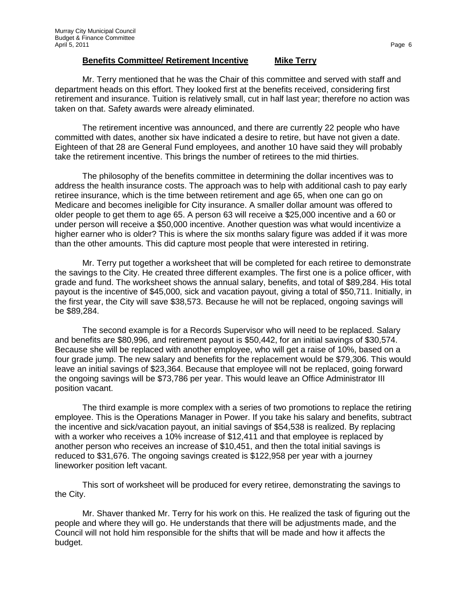### **Benefits Committee/ Retirement Incentive Mike Terry**

Mr. Terry mentioned that he was the Chair of this committee and served with staff and department heads on this effort. They looked first at the benefits received, considering first retirement and insurance. Tuition is relatively small, cut in half last year; therefore no action was taken on that. Safety awards were already eliminated.

The retirement incentive was announced, and there are currently 22 people who have committed with dates, another six have indicated a desire to retire, but have not given a date. Eighteen of that 28 are General Fund employees, and another 10 have said they will probably take the retirement incentive. This brings the number of retirees to the mid thirties.

The philosophy of the benefits committee in determining the dollar incentives was to address the health insurance costs. The approach was to help with additional cash to pay early retiree insurance, which is the time between retirement and age 65, when one can go on Medicare and becomes ineligible for City insurance. A smaller dollar amount was offered to older people to get them to age 65. A person 63 will receive a \$25,000 incentive and a 60 or under person will receive a \$50,000 incentive. Another question was what would incentivize a higher earner who is older? This is where the six months salary figure was added if it was more than the other amounts. This did capture most people that were interested in retiring.

Mr. Terry put together a worksheet that will be completed for each retiree to demonstrate the savings to the City. He created three different examples. The first one is a police officer, with grade and fund. The worksheet shows the annual salary, benefits, and total of \$89,284. His total payout is the incentive of \$45,000, sick and vacation payout, giving a total of \$50,711. Initially, in the first year, the City will save \$38,573. Because he will not be replaced, ongoing savings will be \$89,284.

The second example is for a Records Supervisor who will need to be replaced. Salary and benefits are \$80,996, and retirement payout is \$50,442, for an initial savings of \$30,574. Because she will be replaced with another employee, who will get a raise of 10%, based on a four grade jump. The new salary and benefits for the replacement would be \$79,306. This would leave an initial savings of \$23,364. Because that employee will not be replaced, going forward the ongoing savings will be \$73,786 per year. This would leave an Office Administrator III position vacant.

The third example is more complex with a series of two promotions to replace the retiring employee. This is the Operations Manager in Power. If you take his salary and benefits, subtract the incentive and sick/vacation payout, an initial savings of \$54,538 is realized. By replacing with a worker who receives a 10% increase of \$12,411 and that employee is replaced by another person who receives an increase of \$10,451, and then the total initial savings is reduced to \$31,676. The ongoing savings created is \$122,958 per year with a journey lineworker position left vacant.

This sort of worksheet will be produced for every retiree, demonstrating the savings to the City.

Mr. Shaver thanked Mr. Terry for his work on this. He realized the task of figuring out the people and where they will go. He understands that there will be adjustments made, and the Council will not hold him responsible for the shifts that will be made and how it affects the budget.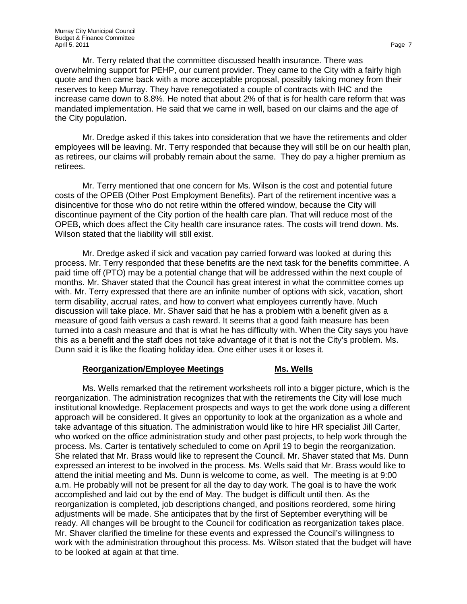Mr. Terry related that the committee discussed health insurance. There was overwhelming support for PEHP, our current provider. They came to the City with a fairly high quote and then came back with a more acceptable proposal, possibly taking money from their reserves to keep Murray. They have renegotiated a couple of contracts with IHC and the increase came down to 8.8%. He noted that about 2% of that is for health care reform that was mandated implementation. He said that we came in well, based on our claims and the age of the City population.

Mr. Dredge asked if this takes into consideration that we have the retirements and older employees will be leaving. Mr. Terry responded that because they will still be on our health plan, as retirees, our claims will probably remain about the same. They do pay a higher premium as retirees.

Mr. Terry mentioned that one concern for Ms. Wilson is the cost and potential future costs of the OPEB (Other Post Employment Benefits). Part of the retirement incentive was a disincentive for those who do not retire within the offered window, because the City will discontinue payment of the City portion of the health care plan. That will reduce most of the OPEB, which does affect the City health care insurance rates. The costs will trend down. Ms. Wilson stated that the liability will still exist.

Mr. Dredge asked if sick and vacation pay carried forward was looked at during this process. Mr. Terry responded that these benefits are the next task for the benefits committee. A paid time off (PTO) may be a potential change that will be addressed within the next couple of months. Mr. Shaver stated that the Council has great interest in what the committee comes up with. Mr. Terry expressed that there are an infinite number of options with sick, vacation, short term disability, accrual rates, and how to convert what employees currently have. Much discussion will take place. Mr. Shaver said that he has a problem with a benefit given as a measure of good faith versus a cash reward. It seems that a good faith measure has been turned into a cash measure and that is what he has difficulty with. When the City says you have this as a benefit and the staff does not take advantage of it that is not the City's problem. Ms. Dunn said it is like the floating holiday idea. One either uses it or loses it.

## **Reorganization/Employee Meetings Ms. Wells**

Ms. Wells remarked that the retirement worksheets roll into a bigger picture, which is the reorganization. The administration recognizes that with the retirements the City will lose much institutional knowledge. Replacement prospects and ways to get the work done using a different approach will be considered. It gives an opportunity to look at the organization as a whole and take advantage of this situation. The administration would like to hire HR specialist Jill Carter, who worked on the office administration study and other past projects, to help work through the process. Ms. Carter is tentatively scheduled to come on April 19 to begin the reorganization. She related that Mr. Brass would like to represent the Council. Mr. Shaver stated that Ms. Dunn expressed an interest to be involved in the process. Ms. Wells said that Mr. Brass would like to attend the initial meeting and Ms. Dunn is welcome to come, as well. The meeting is at 9:00 a.m. He probably will not be present for all the day to day work. The goal is to have the work accomplished and laid out by the end of May. The budget is difficult until then. As the reorganization is completed, job descriptions changed, and positions reordered, some hiring adjustments will be made. She anticipates that by the first of September everything will be ready. All changes will be brought to the Council for codification as reorganization takes place. Mr. Shaver clarified the timeline for these events and expressed the Council's willingness to work with the administration throughout this process. Ms. Wilson stated that the budget will have to be looked at again at that time.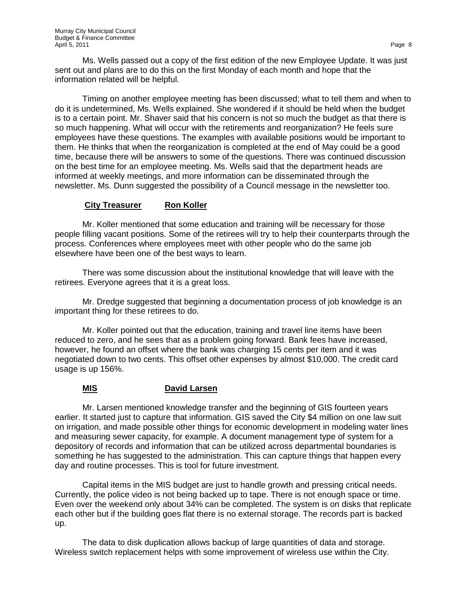Ms. Wells passed out a copy of the first edition of the new Employee Update. It was just sent out and plans are to do this on the first Monday of each month and hope that the information related will be helpful.

Timing on another employee meeting has been discussed; what to tell them and when to do it is undetermined, Ms. Wells explained. She wondered if it should be held when the budget is to a certain point. Mr. Shaver said that his concern is not so much the budget as that there is so much happening. What will occur with the retirements and reorganization? He feels sure employees have these questions. The examples with available positions would be important to them. He thinks that when the reorganization is completed at the end of May could be a good time, because there will be answers to some of the questions. There was continued discussion on the best time for an employee meeting. Ms. Wells said that the department heads are informed at weekly meetings, and more information can be disseminated through the newsletter. Ms. Dunn suggested the possibility of a Council message in the newsletter too.

## **City Treasurer Ron Koller**

Mr. Koller mentioned that some education and training will be necessary for those people filling vacant positions. Some of the retirees will try to help their counterparts through the process. Conferences where employees meet with other people who do the same job elsewhere have been one of the best ways to learn.

There was some discussion about the institutional knowledge that will leave with the retirees. Everyone agrees that it is a great loss.

Mr. Dredge suggested that beginning a documentation process of job knowledge is an important thing for these retirees to do.

Mr. Koller pointed out that the education, training and travel line items have been reduced to zero, and he sees that as a problem going forward. Bank fees have increased, however, he found an offset where the bank was charging 15 cents per item and it was negotiated down to two cents. This offset other expenses by almost \$10,000. The credit card usage is up 156%.

## **MIS David Larsen**

Mr. Larsen mentioned knowledge transfer and the beginning of GIS fourteen years earlier. It started just to capture that information. GIS saved the City \$4 million on one law suit on irrigation, and made possible other things for economic development in modeling water lines and measuring sewer capacity, for example. A document management type of system for a depository of records and information that can be utilized across departmental boundaries is something he has suggested to the administration. This can capture things that happen every day and routine processes. This is tool for future investment.

Capital items in the MIS budget are just to handle growth and pressing critical needs. Currently, the police video is not being backed up to tape. There is not enough space or time. Even over the weekend only about 34% can be completed. The system is on disks that replicate each other but if the building goes flat there is no external storage. The records part is backed up.

The data to disk duplication allows backup of large quantities of data and storage. Wireless switch replacement helps with some improvement of wireless use within the City.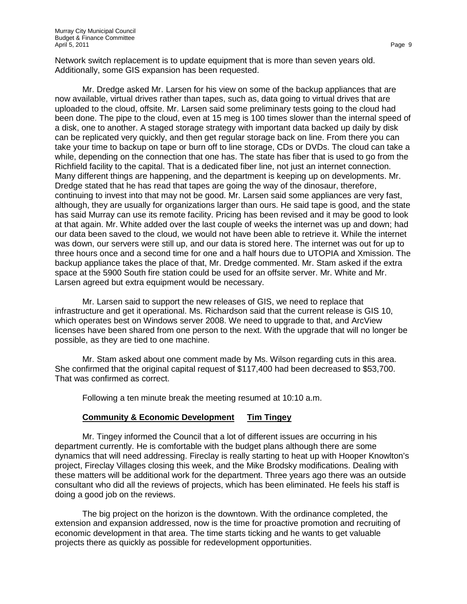Network switch replacement is to update equipment that is more than seven years old. Additionally, some GIS expansion has been requested.

Mr. Dredge asked Mr. Larsen for his view on some of the backup appliances that are now available, virtual drives rather than tapes, such as, data going to virtual drives that are uploaded to the cloud, offsite. Mr. Larsen said some preliminary tests going to the cloud had been done. The pipe to the cloud, even at 15 meg is 100 times slower than the internal speed of a disk, one to another. A staged storage strategy with important data backed up daily by disk can be replicated very quickly, and then get regular storage back on line. From there you can take your time to backup on tape or burn off to line storage, CDs or DVDs. The cloud can take a while, depending on the connection that one has. The state has fiber that is used to go from the Richfield facility to the capital. That is a dedicated fiber line, not just an internet connection. Many different things are happening, and the department is keeping up on developments. Mr. Dredge stated that he has read that tapes are going the way of the dinosaur, therefore, continuing to invest into that may not be good. Mr. Larsen said some appliances are very fast, although, they are usually for organizations larger than ours. He said tape is good, and the state has said Murray can use its remote facility. Pricing has been revised and it may be good to look at that again. Mr. White added over the last couple of weeks the internet was up and down; had our data been saved to the cloud, we would not have been able to retrieve it. While the internet was down, our servers were still up, and our data is stored here. The internet was out for up to three hours once and a second time for one and a half hours due to UTOPIA and Xmission. The backup appliance takes the place of that, Mr. Dredge commented. Mr. Stam asked if the extra space at the 5900 South fire station could be used for an offsite server. Mr. White and Mr. Larsen agreed but extra equipment would be necessary.

Mr. Larsen said to support the new releases of GIS, we need to replace that infrastructure and get it operational. Ms. Richardson said that the current release is GIS 10, which operates best on Windows server 2008. We need to upgrade to that, and ArcView licenses have been shared from one person to the next. With the upgrade that will no longer be possible, as they are tied to one machine.

Mr. Stam asked about one comment made by Ms. Wilson regarding cuts in this area. She confirmed that the original capital request of \$117,400 had been decreased to \$53,700. That was confirmed as correct.

Following a ten minute break the meeting resumed at 10:10 a.m.

## **Community & Economic Development Tim Tingey**

Mr. Tingey informed the Council that a lot of different issues are occurring in his department currently. He is comfortable with the budget plans although there are some dynamics that will need addressing. Fireclay is really starting to heat up with Hooper Knowlton's project, Fireclay Villages closing this week, and the Mike Brodsky modifications. Dealing with these matters will be additional work for the department. Three years ago there was an outside consultant who did all the reviews of projects, which has been eliminated. He feels his staff is doing a good job on the reviews.

The big project on the horizon is the downtown. With the ordinance completed, the extension and expansion addressed, now is the time for proactive promotion and recruiting of economic development in that area. The time starts ticking and he wants to get valuable projects there as quickly as possible for redevelopment opportunities.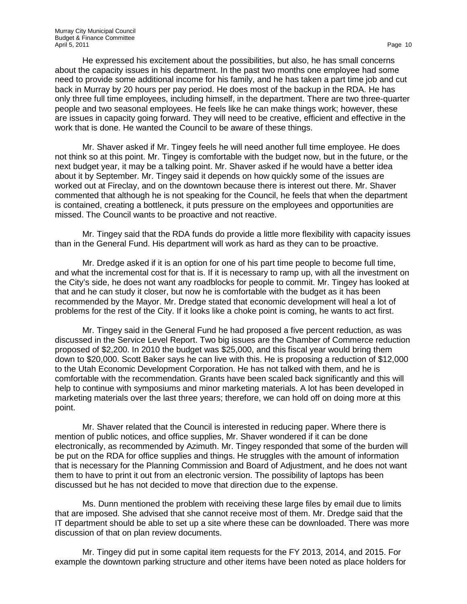He expressed his excitement about the possibilities, but also, he has small concerns about the capacity issues in his department. In the past two months one employee had some need to provide some additional income for his family, and he has taken a part time job and cut back in Murray by 20 hours per pay period. He does most of the backup in the RDA. He has only three full time employees, including himself, in the department. There are two three-quarter people and two seasonal employees. He feels like he can make things work; however, these are issues in capacity going forward. They will need to be creative, efficient and effective in the work that is done. He wanted the Council to be aware of these things.

Mr. Shaver asked if Mr. Tingey feels he will need another full time employee. He does not think so at this point. Mr. Tingey is comfortable with the budget now, but in the future, or the next budget year, it may be a talking point. Mr. Shaver asked if he would have a better idea about it by September. Mr. Tingey said it depends on how quickly some of the issues are worked out at Fireclay, and on the downtown because there is interest out there. Mr. Shaver commented that although he is not speaking for the Council, he feels that when the department is contained, creating a bottleneck, it puts pressure on the employees and opportunities are missed. The Council wants to be proactive and not reactive.

Mr. Tingey said that the RDA funds do provide a little more flexibility with capacity issues than in the General Fund. His department will work as hard as they can to be proactive.

Mr. Dredge asked if it is an option for one of his part time people to become full time, and what the incremental cost for that is. If it is necessary to ramp up, with all the investment on the City's side, he does not want any roadblocks for people to commit. Mr. Tingey has looked at that and he can study it closer, but now he is comfortable with the budget as it has been recommended by the Mayor. Mr. Dredge stated that economic development will heal a lot of problems for the rest of the City. If it looks like a choke point is coming, he wants to act first.

Mr. Tingey said in the General Fund he had proposed a five percent reduction, as was discussed in the Service Level Report. Two big issues are the Chamber of Commerce reduction proposed of \$2,200. In 2010 the budget was \$25,000, and this fiscal year would bring them down to \$20,000. Scott Baker says he can live with this. He is proposing a reduction of \$12,000 to the Utah Economic Development Corporation. He has not talked with them, and he is comfortable with the recommendation. Grants have been scaled back significantly and this will help to continue with symposiums and minor marketing materials. A lot has been developed in marketing materials over the last three years; therefore, we can hold off on doing more at this point.

Mr. Shaver related that the Council is interested in reducing paper. Where there is mention of public notices, and office supplies, Mr. Shaver wondered if it can be done electronically, as recommended by Azimuth. Mr. Tingey responded that some of the burden will be put on the RDA for office supplies and things. He struggles with the amount of information that is necessary for the Planning Commission and Board of Adjustment, and he does not want them to have to print it out from an electronic version. The possibility of laptops has been discussed but he has not decided to move that direction due to the expense.

Ms. Dunn mentioned the problem with receiving these large files by email due to limits that are imposed. She advised that she cannot receive most of them. Mr. Dredge said that the IT department should be able to set up a site where these can be downloaded. There was more discussion of that on plan review documents.

Mr. Tingey did put in some capital item requests for the FY 2013, 2014, and 2015. For example the downtown parking structure and other items have been noted as place holders for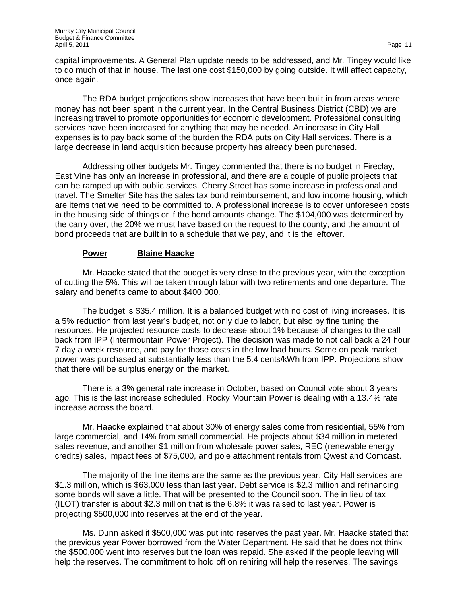capital improvements. A General Plan update needs to be addressed, and Mr. Tingey would like to do much of that in house. The last one cost \$150,000 by going outside. It will affect capacity, once again.

The RDA budget projections show increases that have been built in from areas where money has not been spent in the current year. In the Central Business District (CBD) we are increasing travel to promote opportunities for economic development. Professional consulting services have been increased for anything that may be needed. An increase in City Hall expenses is to pay back some of the burden the RDA puts on City Hall services. There is a large decrease in land acquisition because property has already been purchased.

Addressing other budgets Mr. Tingey commented that there is no budget in Fireclay, East Vine has only an increase in professional, and there are a couple of public projects that can be ramped up with public services. Cherry Street has some increase in professional and travel. The Smelter Site has the sales tax bond reimbursement, and low income housing, which are items that we need to be committed to. A professional increase is to cover unforeseen costs in the housing side of things or if the bond amounts change. The \$104,000 was determined by the carry over, the 20% we must have based on the request to the county, and the amount of bond proceeds that are built in to a schedule that we pay, and it is the leftover.

## **Power Blaine Haacke**

Mr. Haacke stated that the budget is very close to the previous year, with the exception of cutting the 5%. This will be taken through labor with two retirements and one departure. The salary and benefits came to about \$400,000.

The budget is \$35.4 million. It is a balanced budget with no cost of living increases. It is a 5% reduction from last year's budget, not only due to labor, but also by fine tuning the resources. He projected resource costs to decrease about 1% because of changes to the call back from IPP (Intermountain Power Project). The decision was made to not call back a 24 hour 7 day a week resource, and pay for those costs in the low load hours. Some on peak market power was purchased at substantially less than the 5.4 cents/kWh from IPP. Projections show that there will be surplus energy on the market.

There is a 3% general rate increase in October, based on Council vote about 3 years ago. This is the last increase scheduled. Rocky Mountain Power is dealing with a 13.4% rate increase across the board.

Mr. Haacke explained that about 30% of energy sales come from residential, 55% from large commercial, and 14% from small commercial. He projects about \$34 million in metered sales revenue, and another \$1 million from wholesale power sales, REC (renewable energy credits) sales, impact fees of \$75,000, and pole attachment rentals from Qwest and Comcast.

The majority of the line items are the same as the previous year. City Hall services are \$1.3 million, which is \$63,000 less than last year. Debt service is \$2.3 million and refinancing some bonds will save a little. That will be presented to the Council soon. The in lieu of tax (ILOT) transfer is about \$2.3 million that is the 6.8% it was raised to last year. Power is projecting \$500,000 into reserves at the end of the year.

Ms. Dunn asked if \$500,000 was put into reserves the past year. Mr. Haacke stated that the previous year Power borrowed from the Water Department. He said that he does not think the \$500,000 went into reserves but the loan was repaid. She asked if the people leaving will help the reserves. The commitment to hold off on rehiring will help the reserves. The savings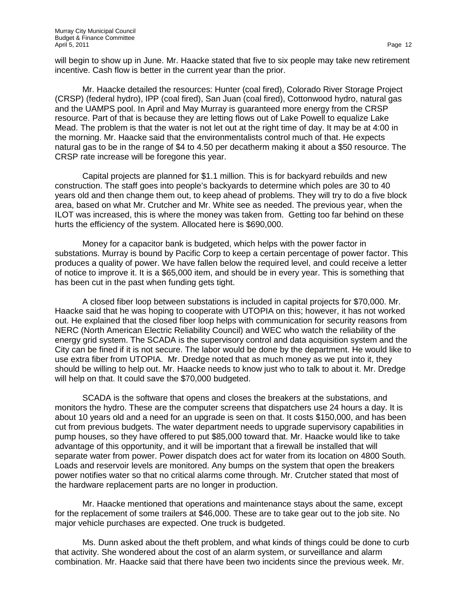will begin to show up in June. Mr. Haacke stated that five to six people may take new retirement incentive. Cash flow is better in the current year than the prior.

Mr. Haacke detailed the resources: Hunter (coal fired), Colorado River Storage Project (CRSP) (federal hydro), IPP (coal fired), San Juan (coal fired), Cottonwood hydro, natural gas and the UAMPS pool. In April and May Murray is guaranteed more energy from the CRSP resource. Part of that is because they are letting flows out of Lake Powell to equalize Lake Mead. The problem is that the water is not let out at the right time of day. It may be at 4:00 in the morning. Mr. Haacke said that the environmentalists control much of that. He expects natural gas to be in the range of \$4 to 4.50 per decatherm making it about a \$50 resource. The CRSP rate increase will be foregone this year.

Capital projects are planned for \$1.1 million. This is for backyard rebuilds and new construction. The staff goes into people's backyards to determine which poles are 30 to 40 years old and then change them out, to keep ahead of problems. They will try to do a five block area, based on what Mr. Crutcher and Mr. White see as needed. The previous year, when the ILOT was increased, this is where the money was taken from. Getting too far behind on these hurts the efficiency of the system. Allocated here is \$690,000.

Money for a capacitor bank is budgeted, which helps with the power factor in substations. Murray is bound by Pacific Corp to keep a certain percentage of power factor. This produces a quality of power. We have fallen below the required level, and could receive a letter of notice to improve it. It is a \$65,000 item, and should be in every year. This is something that has been cut in the past when funding gets tight.

A closed fiber loop between substations is included in capital projects for \$70,000. Mr. Haacke said that he was hoping to cooperate with UTOPIA on this; however, it has not worked out. He explained that the closed fiber loop helps with communication for security reasons from NERC (North American Electric Reliability Council) and WEC who watch the reliability of the energy grid system. The SCADA is the supervisory control and data acquisition system and the City can be fined if it is not secure. The labor would be done by the department. He would like to use extra fiber from UTOPIA. Mr. Dredge noted that as much money as we put into it, they should be willing to help out. Mr. Haacke needs to know just who to talk to about it. Mr. Dredge will help on that. It could save the \$70,000 budgeted.

SCADA is the software that opens and closes the breakers at the substations, and monitors the hydro. These are the computer screens that dispatchers use 24 hours a day. It is about 10 years old and a need for an upgrade is seen on that. It costs \$150,000, and has been cut from previous budgets. The water department needs to upgrade supervisory capabilities in pump houses, so they have offered to put \$85,000 toward that. Mr. Haacke would like to take advantage of this opportunity, and it will be important that a firewall be installed that will separate water from power. Power dispatch does act for water from its location on 4800 South. Loads and reservoir levels are monitored. Any bumps on the system that open the breakers power notifies water so that no critical alarms come through. Mr. Crutcher stated that most of the hardware replacement parts are no longer in production.

Mr. Haacke mentioned that operations and maintenance stays about the same, except for the replacement of some trailers at \$46,000. These are to take gear out to the job site. No major vehicle purchases are expected. One truck is budgeted.

Ms. Dunn asked about the theft problem, and what kinds of things could be done to curb that activity. She wondered about the cost of an alarm system, or surveillance and alarm combination. Mr. Haacke said that there have been two incidents since the previous week. Mr.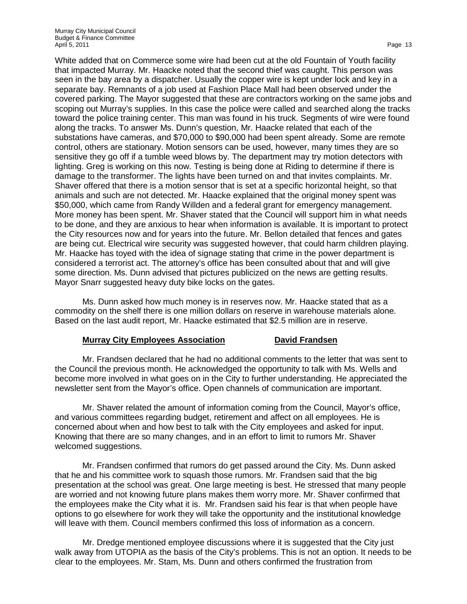White added that on Commerce some wire had been cut at the old Fountain of Youth facility that impacted Murray. Mr. Haacke noted that the second thief was caught. This person was seen in the bay area by a dispatcher. Usually the copper wire is kept under lock and key in a separate bay. Remnants of a job used at Fashion Place Mall had been observed under the covered parking. The Mayor suggested that these are contractors working on the same jobs and scoping out Murray's supplies. In this case the police were called and searched along the tracks toward the police training center. This man was found in his truck. Segments of wire were found along the tracks. To answer Ms. Dunn's question, Mr. Haacke related that each of the substations have cameras, and \$70,000 to \$90,000 had been spent already. Some are remote control, others are stationary. Motion sensors can be used, however, many times they are so sensitive they go off if a tumble weed blows by. The department may try motion detectors with lighting. Greg is working on this now. Testing is being done at Riding to determine if there is damage to the transformer. The lights have been turned on and that invites complaints. Mr. Shaver offered that there is a motion sensor that is set at a specific horizontal height, so that animals and such are not detected. Mr. Haacke explained that the original money spent was \$50,000, which came from Randy Willden and a federal grant for emergency management. More money has been spent. Mr. Shaver stated that the Council will support him in what needs to be done, and they are anxious to hear when information is available. It is important to protect the City resources now and for years into the future. Mr. Bellon detailed that fences and gates are being cut. Electrical wire security was suggested however, that could harm children playing. Mr. Haacke has toyed with the idea of signage stating that crime in the power department is considered a terrorist act. The attorney's office has been consulted about that and will give some direction. Ms. Dunn advised that pictures publicized on the news are getting results. Mayor Snarr suggested heavy duty bike locks on the gates.

Ms. Dunn asked how much money is in reserves now. Mr. Haacke stated that as a commodity on the shelf there is one million dollars on reserve in warehouse materials alone. Based on the last audit report, Mr. Haacke estimated that \$2.5 million are in reserve.

### **Murray City Employees Association <b>David Frandsen**

Mr. Frandsen declared that he had no additional comments to the letter that was sent to the Council the previous month. He acknowledged the opportunity to talk with Ms. Wells and become more involved in what goes on in the City to further understanding. He appreciated the newsletter sent from the Mayor's office. Open channels of communication are important.

Mr. Shaver related the amount of information coming from the Council, Mayor's office, and various committees regarding budget, retirement and affect on all employees. He is concerned about when and how best to talk with the City employees and asked for input. Knowing that there are so many changes, and in an effort to limit to rumors Mr. Shaver welcomed suggestions.

Mr. Frandsen confirmed that rumors do get passed around the City. Ms. Dunn asked that he and his committee work to squash those rumors. Mr. Frandsen said that the big presentation at the school was great. One large meeting is best. He stressed that many people are worried and not knowing future plans makes them worry more. Mr. Shaver confirmed that the employees make the City what it is. Mr. Frandsen said his fear is that when people have options to go elsewhere for work they will take the opportunity and the institutional knowledge will leave with them. Council members confirmed this loss of information as a concern.

Mr. Dredge mentioned employee discussions where it is suggested that the City just walk away from UTOPIA as the basis of the City's problems. This is not an option. It needs to be clear to the employees. Mr. Stam, Ms. Dunn and others confirmed the frustration from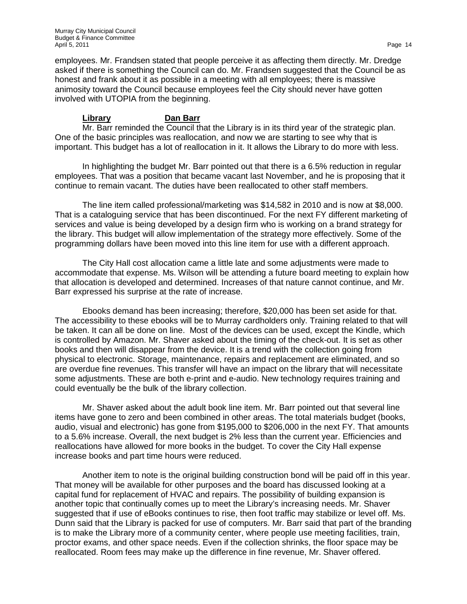employees. Mr. Frandsen stated that people perceive it as affecting them directly. Mr. Dredge asked if there is something the Council can do. Mr. Frandsen suggested that the Council be as honest and frank about it as possible in a meeting with all employees; there is massive animosity toward the Council because employees feel the City should never have gotten involved with UTOPIA from the beginning.

## **Library Dan Barr**

Mr. Barr reminded the Council that the Library is in its third year of the strategic plan. One of the basic principles was reallocation, and now we are starting to see why that is important. This budget has a lot of reallocation in it. It allows the Library to do more with less.

In highlighting the budget Mr. Barr pointed out that there is a 6.5% reduction in regular employees. That was a position that became vacant last November, and he is proposing that it continue to remain vacant. The duties have been reallocated to other staff members.

The line item called professional/marketing was \$14,582 in 2010 and is now at \$8,000. That is a cataloguing service that has been discontinued. For the next FY different marketing of services and value is being developed by a design firm who is working on a brand strategy for the library. This budget will allow implementation of the strategy more effectively. Some of the programming dollars have been moved into this line item for use with a different approach.

The City Hall cost allocation came a little late and some adjustments were made to accommodate that expense. Ms. Wilson will be attending a future board meeting to explain how that allocation is developed and determined. Increases of that nature cannot continue, and Mr. Barr expressed his surprise at the rate of increase.

Ebooks demand has been increasing; therefore, \$20,000 has been set aside for that. The accessibility to these ebooks will be to Murray cardholders only. Training related to that will be taken. It can all be done on line. Most of the devices can be used, except the Kindle, which is controlled by Amazon. Mr. Shaver asked about the timing of the check-out. It is set as other books and then will disappear from the device. It is a trend with the collection going from physical to electronic. Storage, maintenance, repairs and replacement are eliminated, and so are overdue fine revenues. This transfer will have an impact on the library that will necessitate some adjustments. These are both e-print and e-audio. New technology requires training and could eventually be the bulk of the library collection.

Mr. Shaver asked about the adult book line item. Mr. Barr pointed out that several line items have gone to zero and been combined in other areas. The total materials budget (books, audio, visual and electronic) has gone from \$195,000 to \$206,000 in the next FY. That amounts to a 5.6% increase. Overall, the next budget is 2% less than the current year. Efficiencies and reallocations have allowed for more books in the budget. To cover the City Hall expense increase books and part time hours were reduced.

Another item to note is the original building construction bond will be paid off in this year. That money will be available for other purposes and the board has discussed looking at a capital fund for replacement of HVAC and repairs. The possibility of building expansion is another topic that continually comes up to meet the Library's increasing needs. Mr. Shaver suggested that if use of eBooks continues to rise, then foot traffic may stabilize or level off. Ms. Dunn said that the Library is packed for use of computers. Mr. Barr said that part of the branding is to make the Library more of a community center, where people use meeting facilities, train, proctor exams, and other space needs. Even if the collection shrinks, the floor space may be reallocated. Room fees may make up the difference in fine revenue, Mr. Shaver offered.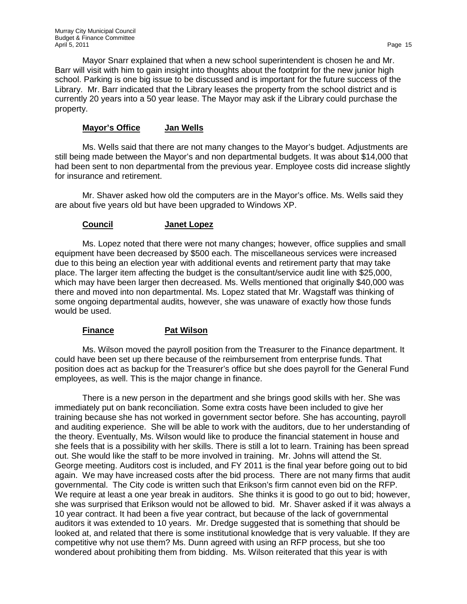Mayor Snarr explained that when a new school superintendent is chosen he and Mr. Barr will visit with him to gain insight into thoughts about the footprint for the new junior high school. Parking is one big issue to be discussed and is important for the future success of the Library. Mr. Barr indicated that the Library leases the property from the school district and is currently 20 years into a 50 year lease. The Mayor may ask if the Library could purchase the property.

### **Mayor's Office Jan Wells**

Ms. Wells said that there are not many changes to the Mayor's budget. Adjustments are still being made between the Mayor's and non departmental budgets. It was about \$14,000 that had been sent to non departmental from the previous year. Employee costs did increase slightly for insurance and retirement.

Mr. Shaver asked how old the computers are in the Mayor's office. Ms. Wells said they are about five years old but have been upgraded to Windows XP.

### **Council Janet Lopez**

Ms. Lopez noted that there were not many changes; however, office supplies and small equipment have been decreased by \$500 each. The miscellaneous services were increased due to this being an election year with additional events and retirement party that may take place. The larger item affecting the budget is the consultant/service audit line with \$25,000, which may have been larger then decreased. Ms. Wells mentioned that originally \$40,000 was there and moved into non departmental. Ms. Lopez stated that Mr. Wagstaff was thinking of some ongoing departmental audits, however, she was unaware of exactly how those funds would be used.

### **Finance Pat Wilson**

Ms. Wilson moved the payroll position from the Treasurer to the Finance department. It could have been set up there because of the reimbursement from enterprise funds. That position does act as backup for the Treasurer's office but she does payroll for the General Fund employees, as well. This is the major change in finance.

There is a new person in the department and she brings good skills with her. She was immediately put on bank reconciliation. Some extra costs have been included to give her training because she has not worked in government sector before. She has accounting, payroll and auditing experience. She will be able to work with the auditors, due to her understanding of the theory. Eventually, Ms. Wilson would like to produce the financial statement in house and she feels that is a possibility with her skills. There is still a lot to learn. Training has been spread out. She would like the staff to be more involved in training. Mr. Johns will attend the St. George meeting. Auditors cost is included, and FY 2011 is the final year before going out to bid again. We may have increased costs after the bid process. There are not many firms that audit governmental. The City code is written such that Erikson's firm cannot even bid on the RFP. We require at least a one year break in auditors. She thinks it is good to go out to bid; however, she was surprised that Erikson would not be allowed to bid. Mr. Shaver asked if it was always a 10 year contract. It had been a five year contract, but because of the lack of governmental auditors it was extended to 10 years. Mr. Dredge suggested that is something that should be looked at, and related that there is some institutional knowledge that is very valuable. If they are competitive why not use them? Ms. Dunn agreed with using an RFP process, but she too wondered about prohibiting them from bidding. Ms. Wilson reiterated that this year is with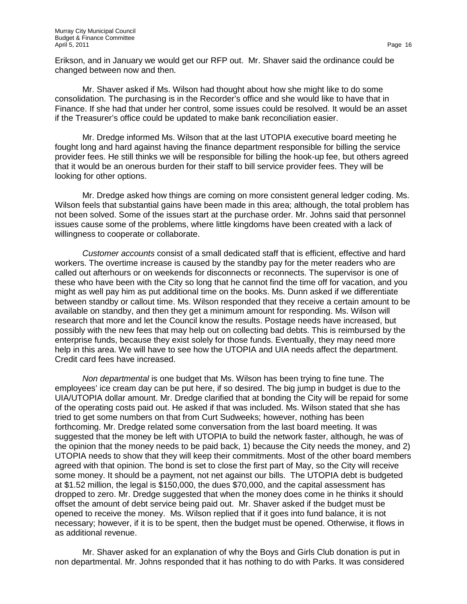Erikson, and in January we would get our RFP out. Mr. Shaver said the ordinance could be changed between now and then.

Mr. Shaver asked if Ms. Wilson had thought about how she might like to do some consolidation. The purchasing is in the Recorder's office and she would like to have that in Finance. If she had that under her control, some issues could be resolved. It would be an asset if the Treasurer's office could be updated to make bank reconciliation easier.

Mr. Dredge informed Ms. Wilson that at the last UTOPIA executive board meeting he fought long and hard against having the finance department responsible for billing the service provider fees. He still thinks we will be responsible for billing the hook-up fee, but others agreed that it would be an onerous burden for their staff to bill service provider fees. They will be looking for other options.

Mr. Dredge asked how things are coming on more consistent general ledger coding. Ms. Wilson feels that substantial gains have been made in this area; although, the total problem has not been solved. Some of the issues start at the purchase order. Mr. Johns said that personnel issues cause some of the problems, where little kingdoms have been created with a lack of willingness to cooperate or collaborate.

*Customer accounts* consist of a small dedicated staff that is efficient, effective and hard workers. The overtime increase is caused by the standby pay for the meter readers who are called out afterhours or on weekends for disconnects or reconnects. The supervisor is one of these who have been with the City so long that he cannot find the time off for vacation, and you might as well pay him as put additional time on the books. Ms. Dunn asked if we differentiate between standby or callout time. Ms. Wilson responded that they receive a certain amount to be available on standby, and then they get a minimum amount for responding. Ms. Wilson will research that more and let the Council know the results. Postage needs have increased, but possibly with the new fees that may help out on collecting bad debts. This is reimbursed by the enterprise funds, because they exist solely for those funds. Eventually, they may need more help in this area. We will have to see how the UTOPIA and UIA needs affect the department. Credit card fees have increased.

*Non departmental* is one budget that Ms. Wilson has been trying to fine tune. The employees' ice cream day can be put here, if so desired. The big jump in budget is due to the UIA/UTOPIA dollar amount. Mr. Dredge clarified that at bonding the City will be repaid for some of the operating costs paid out. He asked if that was included. Ms. Wilson stated that she has tried to get some numbers on that from Curt Sudweeks; however, nothing has been forthcoming. Mr. Dredge related some conversation from the last board meeting. It was suggested that the money be left with UTOPIA to build the network faster, although, he was of the opinion that the money needs to be paid back, 1) because the City needs the money, and 2) UTOPIA needs to show that they will keep their commitments. Most of the other board members agreed with that opinion. The bond is set to close the first part of May, so the City will receive some money. It should be a payment, not net against our bills. The UTOPIA debt is budgeted at \$1.52 million, the legal is \$150,000, the dues \$70,000, and the capital assessment has dropped to zero. Mr. Dredge suggested that when the money does come in he thinks it should offset the amount of debt service being paid out. Mr. Shaver asked if the budget must be opened to receive the money. Ms. Wilson replied that if it goes into fund balance, it is not necessary; however, if it is to be spent, then the budget must be opened. Otherwise, it flows in as additional revenue.

Mr. Shaver asked for an explanation of why the Boys and Girls Club donation is put in non departmental. Mr. Johns responded that it has nothing to do with Parks. It was considered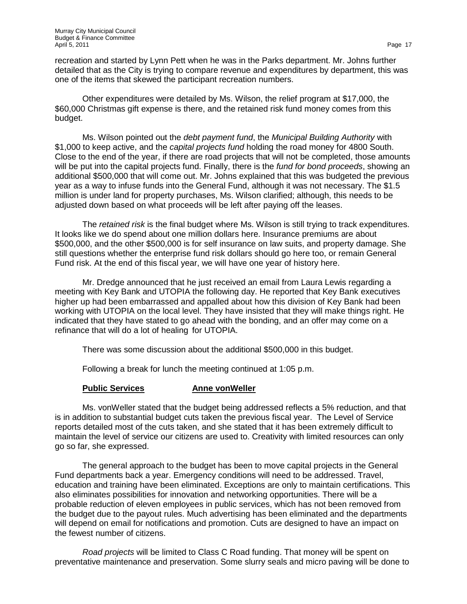recreation and started by Lynn Pett when he was in the Parks department. Mr. Johns further detailed that as the City is trying to compare revenue and expenditures by department, this was one of the items that skewed the participant recreation numbers.

Other expenditures were detailed by Ms. Wilson, the relief program at \$17,000, the \$60,000 Christmas gift expense is there, and the retained risk fund money comes from this budget.

Ms. Wilson pointed out the *debt payment fund*, the *Municipal Building Authority* with \$1,000 to keep active, and the *capital projects fund* holding the road money for 4800 South. Close to the end of the year, if there are road projects that will not be completed, those amounts will be put into the capital projects fund. Finally, there is the *fund for bond proceeds*, showing an additional \$500,000 that will come out. Mr. Johns explained that this was budgeted the previous year as a way to infuse funds into the General Fund, although it was not necessary. The \$1.5 million is under land for property purchases, Ms. Wilson clarified; although, this needs to be adjusted down based on what proceeds will be left after paying off the leases.

The *retained risk* is the final budget where Ms. Wilson is still trying to track expenditures. It looks like we do spend about one million dollars here. Insurance premiums are about \$500,000, and the other \$500,000 is for self insurance on law suits, and property damage. She still questions whether the enterprise fund risk dollars should go here too, or remain General Fund risk. At the end of this fiscal year, we will have one year of history here.

Mr. Dredge announced that he just received an email from Laura Lewis regarding a meeting with Key Bank and UTOPIA the following day. He reported that Key Bank executives higher up had been embarrassed and appalled about how this division of Key Bank had been working with UTOPIA on the local level. They have insisted that they will make things right. He indicated that they have stated to go ahead with the bonding, and an offer may come on a refinance that will do a lot of healing for UTOPIA.

There was some discussion about the additional \$500,000 in this budget.

Following a break for lunch the meeting continued at 1:05 p.m.

## **Public Services Anne vonWeller**

Ms. vonWeller stated that the budget being addressed reflects a 5% reduction, and that is in addition to substantial budget cuts taken the previous fiscal year. The Level of Service reports detailed most of the cuts taken, and she stated that it has been extremely difficult to maintain the level of service our citizens are used to. Creativity with limited resources can only go so far, she expressed.

The general approach to the budget has been to move capital projects in the General Fund departments back a year. Emergency conditions will need to be addressed. Travel, education and training have been eliminated. Exceptions are only to maintain certifications. This also eliminates possibilities for innovation and networking opportunities. There will be a probable reduction of eleven employees in public services, which has not been removed from the budget due to the payout rules. Much advertising has been eliminated and the departments will depend on email for notifications and promotion. Cuts are designed to have an impact on the fewest number of citizens.

*Road projects* will be limited to Class C Road funding. That money will be spent on preventative maintenance and preservation. Some slurry seals and micro paving will be done to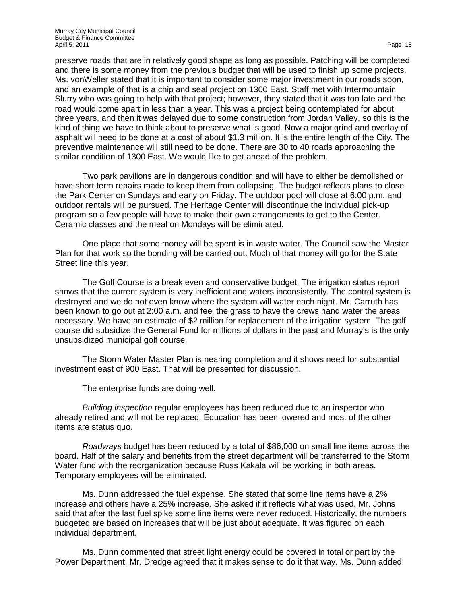preserve roads that are in relatively good shape as long as possible. Patching will be completed and there is some money from the previous budget that will be used to finish up some projects. Ms. vonWeller stated that it is important to consider some major investment in our roads soon, and an example of that is a chip and seal project on 1300 East. Staff met with Intermountain Slurry who was going to help with that project; however, they stated that it was too late and the road would come apart in less than a year. This was a project being contemplated for about three years, and then it was delayed due to some construction from Jordan Valley, so this is the kind of thing we have to think about to preserve what is good. Now a major grind and overlay of asphalt will need to be done at a cost of about \$1.3 million. It is the entire length of the City. The preventive maintenance will still need to be done. There are 30 to 40 roads approaching the similar condition of 1300 East. We would like to get ahead of the problem.

Two park pavilions are in dangerous condition and will have to either be demolished or have short term repairs made to keep them from collapsing. The budget reflects plans to close the Park Center on Sundays and early on Friday. The outdoor pool will close at 6:00 p.m. and outdoor rentals will be pursued. The Heritage Center will discontinue the individual pick-up program so a few people will have to make their own arrangements to get to the Center. Ceramic classes and the meal on Mondays will be eliminated.

One place that some money will be spent is in waste water. The Council saw the Master Plan for that work so the bonding will be carried out. Much of that money will go for the State Street line this year.

The Golf Course is a break even and conservative budget. The irrigation status report shows that the current system is very inefficient and waters inconsistently. The control system is destroyed and we do not even know where the system will water each night. Mr. Carruth has been known to go out at 2:00 a.m. and feel the grass to have the crews hand water the areas necessary. We have an estimate of \$2 million for replacement of the irrigation system. The golf course did subsidize the General Fund for millions of dollars in the past and Murray's is the only unsubsidized municipal golf course.

The Storm Water Master Plan is nearing completion and it shows need for substantial investment east of 900 East. That will be presented for discussion.

The enterprise funds are doing well.

*Building inspection* regular employees has been reduced due to an inspector who already retired and will not be replaced. Education has been lowered and most of the other items are status quo.

*Roadways* budget has been reduced by a total of \$86,000 on small line items across the board. Half of the salary and benefits from the street department will be transferred to the Storm Water fund with the reorganization because Russ Kakala will be working in both areas. Temporary employees will be eliminated.

Ms. Dunn addressed the fuel expense. She stated that some line items have a 2% increase and others have a 25% increase. She asked if it reflects what was used. Mr. Johns said that after the last fuel spike some line items were never reduced. Historically, the numbers budgeted are based on increases that will be just about adequate. It was figured on each individual department.

Ms. Dunn commented that street light energy could be covered in total or part by the Power Department. Mr. Dredge agreed that it makes sense to do it that way. Ms. Dunn added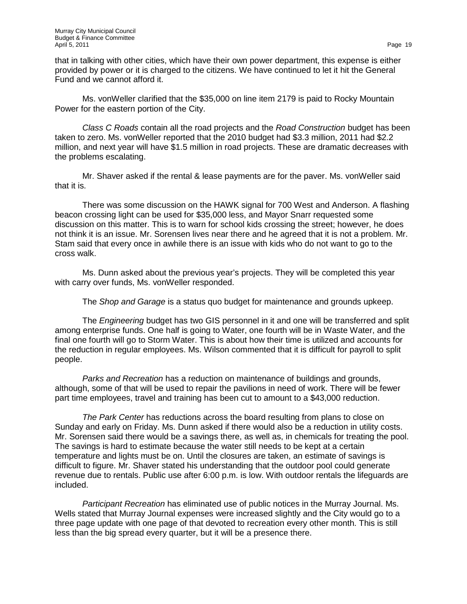that in talking with other cities, which have their own power department, this expense is either provided by power or it is charged to the citizens. We have continued to let it hit the General Fund and we cannot afford it.

Ms. vonWeller clarified that the \$35,000 on line item 2179 is paid to Rocky Mountain Power for the eastern portion of the City.

*Class C Roads* contain all the road projects and the *Road Construction* budget has been taken to zero. Ms. vonWeller reported that the 2010 budget had \$3.3 million, 2011 had \$2.2 million, and next year will have \$1.5 million in road projects. These are dramatic decreases with the problems escalating.

Mr. Shaver asked if the rental & lease payments are for the paver. Ms. vonWeller said that it is.

There was some discussion on the HAWK signal for 700 West and Anderson. A flashing beacon crossing light can be used for \$35,000 less, and Mayor Snarr requested some discussion on this matter. This is to warn for school kids crossing the street; however, he does not think it is an issue. Mr. Sorensen lives near there and he agreed that it is not a problem. Mr. Stam said that every once in awhile there is an issue with kids who do not want to go to the cross walk.

Ms. Dunn asked about the previous year's projects. They will be completed this year with carry over funds, Ms. vonWeller responded.

The *Shop and Garage* is a status quo budget for maintenance and grounds upkeep.

The *Engineering* budget has two GIS personnel in it and one will be transferred and split among enterprise funds. One half is going to Water, one fourth will be in Waste Water, and the final one fourth will go to Storm Water. This is about how their time is utilized and accounts for the reduction in regular employees. Ms. Wilson commented that it is difficult for payroll to split people.

*Parks and Recreation* has a reduction on maintenance of buildings and grounds, although, some of that will be used to repair the pavilions in need of work. There will be fewer part time employees, travel and training has been cut to amount to a \$43,000 reduction.

*The Park Center* has reductions across the board resulting from plans to close on Sunday and early on Friday. Ms. Dunn asked if there would also be a reduction in utility costs. Mr. Sorensen said there would be a savings there, as well as, in chemicals for treating the pool. The savings is hard to estimate because the water still needs to be kept at a certain temperature and lights must be on. Until the closures are taken, an estimate of savings is difficult to figure. Mr. Shaver stated his understanding that the outdoor pool could generate revenue due to rentals. Public use after 6:00 p.m. is low. With outdoor rentals the lifeguards are included.

*Participant Recreation* has eliminated use of public notices in the Murray Journal. Ms. Wells stated that Murray Journal expenses were increased slightly and the City would go to a three page update with one page of that devoted to recreation every other month. This is still less than the big spread every quarter, but it will be a presence there.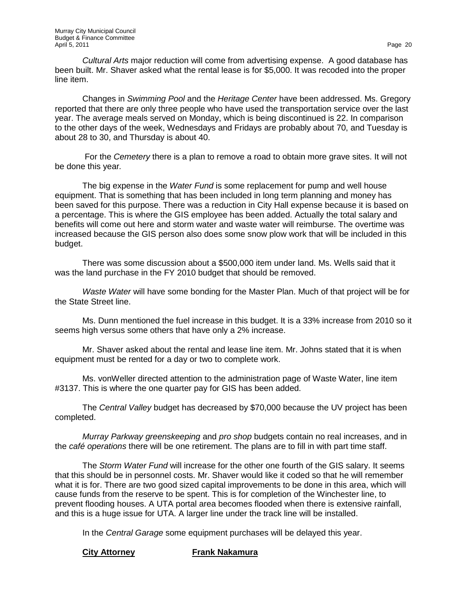*Cultural Arts* major reduction will come from advertising expense. A good database has been built. Mr. Shaver asked what the rental lease is for \$5,000. It was recoded into the proper line item.

Changes in *Swimming Pool* and the *Heritage Center* have been addressed. Ms. Gregory reported that there are only three people who have used the transportation service over the last year. The average meals served on Monday, which is being discontinued is 22. In comparison to the other days of the week, Wednesdays and Fridays are probably about 70, and Tuesday is about 28 to 30, and Thursday is about 40.

For the *Cemetery* there is a plan to remove a road to obtain more grave sites. It will not be done this year*.* 

The big expense in the *Water Fund* is some replacement for pump and well house equipment. That is something that has been included in long term planning and money has been saved for this purpose. There was a reduction in City Hall expense because it is based on a percentage. This is where the GIS employee has been added. Actually the total salary and benefits will come out here and storm water and waste water will reimburse. The overtime was increased because the GIS person also does some snow plow work that will be included in this budget.

There was some discussion about a \$500,000 item under land. Ms. Wells said that it was the land purchase in the FY 2010 budget that should be removed.

*Waste Water* will have some bonding for the Master Plan. Much of that project will be for the State Street line.

Ms. Dunn mentioned the fuel increase in this budget. It is a 33% increase from 2010 so it seems high versus some others that have only a 2% increase.

Mr. Shaver asked about the rental and lease line item. Mr. Johns stated that it is when equipment must be rented for a day or two to complete work.

Ms. vonWeller directed attention to the administration page of Waste Water, line item #3137. This is where the one quarter pay for GIS has been added.

The *Central Valley* budget has decreased by \$70,000 because the UV project has been completed.

*Murray Parkway greenskeeping* and *pro shop* budgets contain no real increases, and in the *café operations* there will be one retirement. The plans are to fill in with part time staff.

The *Storm Water Fund* will increase for the other one fourth of the GIS salary. It seems that this should be in personnel costs. Mr. Shaver would like it coded so that he will remember what it is for. There are two good sized capital improvements to be done in this area, which will cause funds from the reserve to be spent. This is for completion of the Winchester line, to prevent flooding houses. A UTA portal area becomes flooded when there is extensive rainfall, and this is a huge issue for UTA. A larger line under the track line will be installed.

In the *Central Garage* some equipment purchases will be delayed this year.

## **City Attorney 6 Frank Nakamura**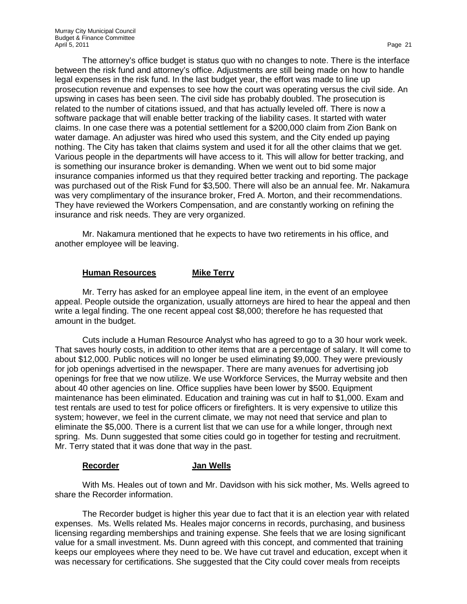between the risk fund and attorney's office. Adjustments are still being made on how to handle legal expenses in the risk fund. In the last budget year, the effort was made to line up prosecution revenue and expenses to see how the court was operating versus the civil side. An upswing in cases has been seen. The civil side has probably doubled. The prosecution is related to the number of citations issued, and that has actually leveled off. There is now a software package that will enable better tracking of the liability cases. It started with water claims. In one case there was a potential settlement for a \$200,000 claim from Zion Bank on water damage. An adjuster was hired who used this system, and the City ended up paying nothing. The City has taken that claims system and used it for all the other claims that we get. Various people in the departments will have access to it. This will allow for better tracking, and is something our insurance broker is demanding. When we went out to bid some major insurance companies informed us that they required better tracking and reporting. The package was purchased out of the Risk Fund for \$3,500. There will also be an annual fee. Mr. Nakamura was very complimentary of the insurance broker, Fred A. Morton, and their recommendations. They have reviewed the Workers Compensation, and are constantly working on refining the insurance and risk needs. They are very organized.

Mr. Nakamura mentioned that he expects to have two retirements in his office, and another employee will be leaving.

## **Human Resources Mike Terry**

Mr. Terry has asked for an employee appeal line item, in the event of an employee appeal. People outside the organization, usually attorneys are hired to hear the appeal and then write a legal finding. The one recent appeal cost \$8,000; therefore he has requested that amount in the budget.

Cuts include a Human Resource Analyst who has agreed to go to a 30 hour work week. That saves hourly costs, in addition to other items that are a percentage of salary. It will come to about \$12,000. Public notices will no longer be used eliminating \$9,000. They were previously for job openings advertised in the newspaper. There are many avenues for advertising job openings for free that we now utilize. We use Workforce Services, the Murray website and then about 40 other agencies on line. Office supplies have been lower by \$500. Equipment maintenance has been eliminated. Education and training was cut in half to \$1,000. Exam and test rentals are used to test for police officers or firefighters. It is very expensive to utilize this system; however, we feel in the current climate, we may not need that service and plan to eliminate the \$5,000. There is a current list that we can use for a while longer, through next spring. Ms. Dunn suggested that some cities could go in together for testing and recruitment. Mr. Terry stated that it was done that way in the past.

## **Recorder Jan Wells**

With Ms. Heales out of town and Mr. Davidson with his sick mother, Ms. Wells agreed to share the Recorder information.

The Recorder budget is higher this year due to fact that it is an election year with related expenses. Ms. Wells related Ms. Heales major concerns in records, purchasing, and business licensing regarding memberships and training expense. She feels that we are losing significant value for a small investment. Ms. Dunn agreed with this concept, and commented that training keeps our employees where they need to be. We have cut travel and education, except when it was necessary for certifications. She suggested that the City could cover meals from receipts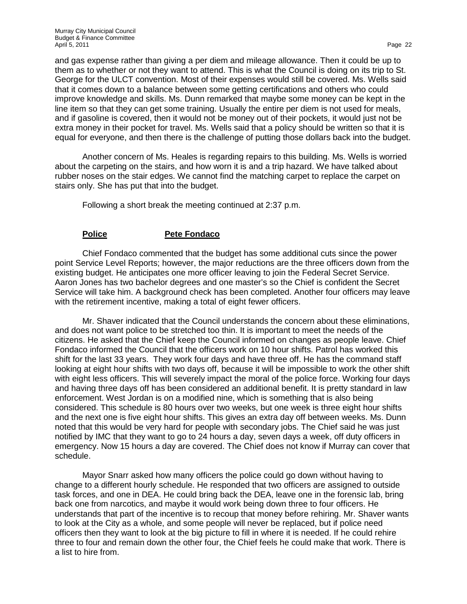and gas expense rather than giving a per diem and mileage allowance. Then it could be up to them as to whether or not they want to attend. This is what the Council is doing on its trip to St. George for the ULCT convention. Most of their expenses would still be covered. Ms. Wells said that it comes down to a balance between some getting certifications and others who could improve knowledge and skills. Ms. Dunn remarked that maybe some money can be kept in the line item so that they can get some training. Usually the entire per diem is not used for meals, and if gasoline is covered, then it would not be money out of their pockets, it would just not be extra money in their pocket for travel. Ms. Wells said that a policy should be written so that it is equal for everyone, and then there is the challenge of putting those dollars back into the budget.

Another concern of Ms. Heales is regarding repairs to this building. Ms. Wells is worried about the carpeting on the stairs, and how worn it is and a trip hazard. We have talked about rubber noses on the stair edges. We cannot find the matching carpet to replace the carpet on stairs only. She has put that into the budget.

Following a short break the meeting continued at 2:37 p.m.

### **Police Pete Fondaco**

Chief Fondaco commented that the budget has some additional cuts since the power point Service Level Reports; however, the major reductions are the three officers down from the existing budget. He anticipates one more officer leaving to join the Federal Secret Service. Aaron Jones has two bachelor degrees and one master's so the Chief is confident the Secret Service will take him. A background check has been completed. Another four officers may leave with the retirement incentive, making a total of eight fewer officers.

Mr. Shaver indicated that the Council understands the concern about these eliminations, and does not want police to be stretched too thin. It is important to meet the needs of the citizens. He asked that the Chief keep the Council informed on changes as people leave. Chief Fondaco informed the Council that the officers work on 10 hour shifts. Patrol has worked this shift for the last 33 years. They work four days and have three off. He has the command staff looking at eight hour shifts with two days off, because it will be impossible to work the other shift with eight less officers. This will severely impact the moral of the police force. Working four days and having three days off has been considered an additional benefit. It is pretty standard in law enforcement. West Jordan is on a modified nine, which is something that is also being considered. This schedule is 80 hours over two weeks, but one week is three eight hour shifts and the next one is five eight hour shifts. This gives an extra day off between weeks. Ms. Dunn noted that this would be very hard for people with secondary jobs. The Chief said he was just notified by IMC that they want to go to 24 hours a day, seven days a week, off duty officers in emergency. Now 15 hours a day are covered. The Chief does not know if Murray can cover that schedule.

Mayor Snarr asked how many officers the police could go down without having to change to a different hourly schedule. He responded that two officers are assigned to outside task forces, and one in DEA. He could bring back the DEA, leave one in the forensic lab, bring back one from narcotics, and maybe it would work being down three to four officers. He understands that part of the incentive is to recoup that money before rehiring. Mr. Shaver wants to look at the City as a whole, and some people will never be replaced, but if police need officers then they want to look at the big picture to fill in where it is needed. If he could rehire three to four and remain down the other four, the Chief feels he could make that work. There is a list to hire from.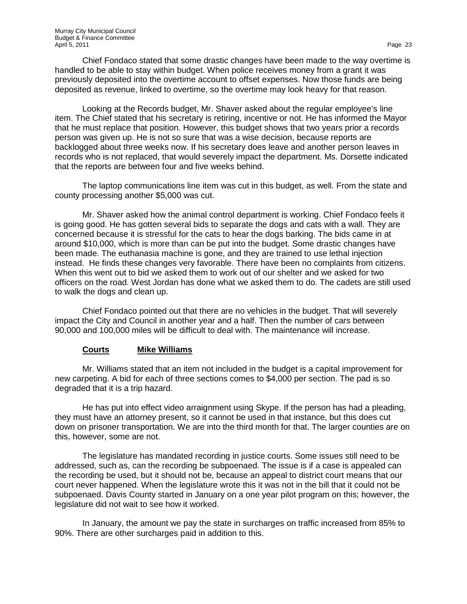Chief Fondaco stated that some drastic changes have been made to the way overtime is handled to be able to stay within budget. When police receives money from a grant it was previously deposited into the overtime account to offset expenses. Now those funds are being deposited as revenue, linked to overtime, so the overtime may look heavy for that reason.

Looking at the Records budget, Mr. Shaver asked about the regular employee's line item. The Chief stated that his secretary is retiring, incentive or not. He has informed the Mayor that he must replace that position. However, this budget shows that two years prior a records person was given up. He is not so sure that was a wise decision, because reports are backlogged about three weeks now. If his secretary does leave and another person leaves in records who is not replaced, that would severely impact the department. Ms. Dorsette indicated that the reports are between four and five weeks behind.

The laptop communications line item was cut in this budget, as well. From the state and county processing another \$5,000 was cut.

Mr. Shaver asked how the animal control department is working. Chief Fondaco feels it is going good. He has gotten several bids to separate the dogs and cats with a wall. They are concerned because it is stressful for the cats to hear the dogs barking. The bids came in at around \$10,000, which is more than can be put into the budget. Some drastic changes have been made. The euthanasia machine is gone, and they are trained to use lethal injection instead. He finds these changes very favorable. There have been no complaints from citizens. When this went out to bid we asked them to work out of our shelter and we asked for two officers on the road. West Jordan has done what we asked them to do. The cadets are still used to walk the dogs and clean up.

Chief Fondaco pointed out that there are no vehicles in the budget. That will severely impact the City and Council in another year and a half. Then the number of cars between 90,000 and 100,000 miles will be difficult to deal with. The maintenance will increase.

## **Courts Mike Williams**

Mr. Williams stated that an item not included in the budget is a capital improvement for new carpeting. A bid for each of three sections comes to \$4,000 per section. The pad is so degraded that it is a trip hazard.

He has put into effect video arraignment using Skype. If the person has had a pleading, they must have an attorney present, so it cannot be used in that instance, but this does cut down on prisoner transportation. We are into the third month for that. The larger counties are on this, however, some are not.

The legislature has mandated recording in justice courts. Some issues still need to be addressed, such as, can the recording be subpoenaed. The issue is if a case is appealed can the recording be used, but it should not be, because an appeal to district court means that our court never happened. When the legislature wrote this it was not in the bill that it could not be subpoenaed. Davis County started in January on a one year pilot program on this; however, the legislature did not wait to see how it worked.

In January, the amount we pay the state in surcharges on traffic increased from 85% to 90%. There are other surcharges paid in addition to this.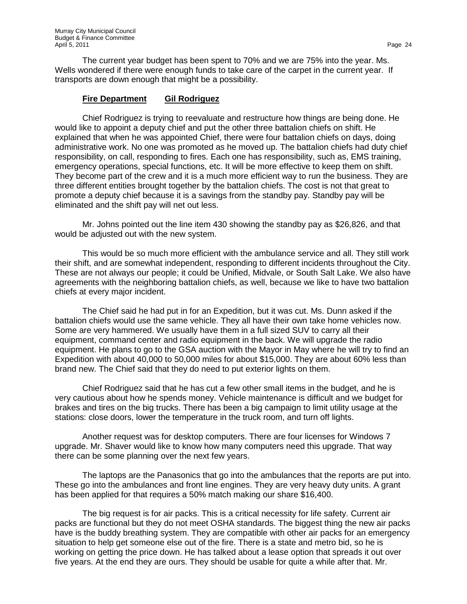The current year budget has been spent to 70% and we are 75% into the year. Ms. Wells wondered if there were enough funds to take care of the carpet in the current year. If transports are down enough that might be a possibility.

## **Fire Department Gil Rodriguez**

Chief Rodriguez is trying to reevaluate and restructure how things are being done. He would like to appoint a deputy chief and put the other three battalion chiefs on shift. He explained that when he was appointed Chief, there were four battalion chiefs on days, doing administrative work. No one was promoted as he moved up. The battalion chiefs had duty chief responsibility, on call, responding to fires. Each one has responsibility, such as, EMS training, emergency operations, special functions, etc. It will be more effective to keep them on shift. They become part of the crew and it is a much more efficient way to run the business. They are three different entities brought together by the battalion chiefs. The cost is not that great to promote a deputy chief because it is a savings from the standby pay. Standby pay will be eliminated and the shift pay will net out less.

Mr. Johns pointed out the line item 430 showing the standby pay as \$26,826, and that would be adjusted out with the new system.

This would be so much more efficient with the ambulance service and all. They still work their shift, and are somewhat independent, responding to different incidents throughout the City. These are not always our people; it could be Unified, Midvale, or South Salt Lake. We also have agreements with the neighboring battalion chiefs, as well, because we like to have two battalion chiefs at every major incident.

The Chief said he had put in for an Expedition, but it was cut. Ms. Dunn asked if the battalion chiefs would use the same vehicle. They all have their own take home vehicles now. Some are very hammered. We usually have them in a full sized SUV to carry all their equipment, command center and radio equipment in the back. We will upgrade the radio equipment. He plans to go to the GSA auction with the Mayor in May where he will try to find an Expedition with about 40,000 to 50,000 miles for about \$15,000. They are about 60% less than brand new. The Chief said that they do need to put exterior lights on them.

Chief Rodriguez said that he has cut a few other small items in the budget, and he is very cautious about how he spends money. Vehicle maintenance is difficult and we budget for brakes and tires on the big trucks. There has been a big campaign to limit utility usage at the stations: close doors, lower the temperature in the truck room, and turn off lights.

Another request was for desktop computers. There are four licenses for Windows 7 upgrade. Mr. Shaver would like to know how many computers need this upgrade. That way there can be some planning over the next few years.

The laptops are the Panasonics that go into the ambulances that the reports are put into. These go into the ambulances and front line engines. They are very heavy duty units. A grant has been applied for that requires a 50% match making our share \$16,400.

The big request is for air packs. This is a critical necessity for life safety. Current air packs are functional but they do not meet OSHA standards. The biggest thing the new air packs have is the buddy breathing system. They are compatible with other air packs for an emergency situation to help get someone else out of the fire. There is a state and metro bid, so he is working on getting the price down. He has talked about a lease option that spreads it out over five years. At the end they are ours. They should be usable for quite a while after that. Mr.